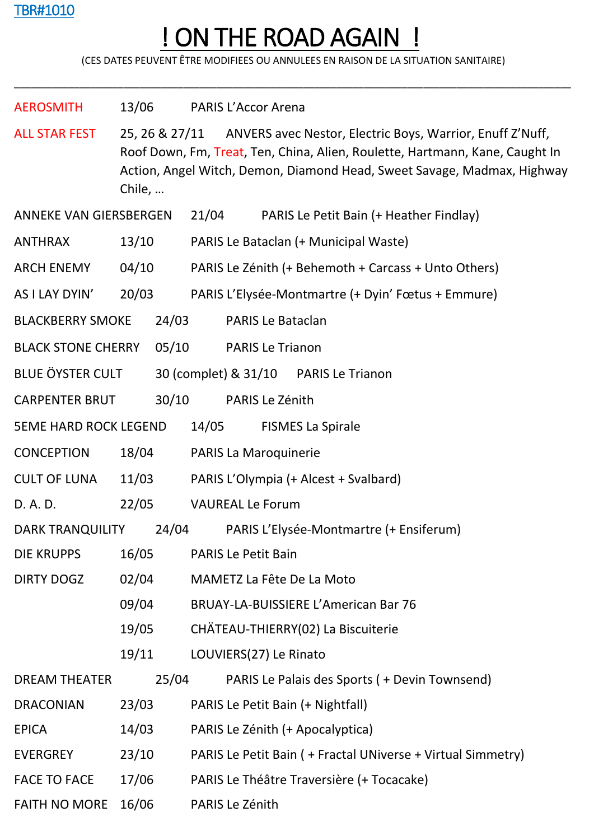## TBR#1010

## ! ON THE ROAD AGAIN !

(CES DATES PEUVENT ÊTRE MODIFIEES OU ANNULEES EN RAISON DE LA SITUATION SANITAIRE)

\_\_\_\_\_\_\_\_\_\_\_\_\_\_\_\_\_\_\_\_\_\_\_\_\_\_\_\_\_\_\_\_\_\_\_\_\_\_\_\_\_\_\_\_\_\_\_\_\_\_\_\_\_\_\_\_\_\_\_\_\_\_\_\_\_\_\_\_\_\_\_\_\_\_\_\_\_\_\_\_\_\_\_\_\_\_\_\_\_\_\_\_\_\_\_\_\_\_\_\_\_\_

| <b>AEROSMITH</b>              | 13/06                     |                                   |                                                                                                                                                                                                                                     | <b>PARIS L'Accor Arena</b>                                   |                                                |  |  |  |  |  |
|-------------------------------|---------------------------|-----------------------------------|-------------------------------------------------------------------------------------------------------------------------------------------------------------------------------------------------------------------------------------|--------------------------------------------------------------|------------------------------------------------|--|--|--|--|--|
| <b>ALL STAR FEST</b>          | Chile,                    |                                   | 25, 26 & 27/11 ANVERS avec Nestor, Electric Boys, Warrior, Enuff Z'Nuff,<br>Roof Down, Fm, Treat, Ten, China, Alien, Roulette, Hartmann, Kane, Caught In<br>Action, Angel Witch, Demon, Diamond Head, Sweet Savage, Madmax, Highway |                                                              |                                                |  |  |  |  |  |
| <b>ANNEKE VAN GIERSBERGEN</b> |                           | 21/04                             | PARIS Le Petit Bain (+ Heather Findlay)                                                                                                                                                                                             |                                                              |                                                |  |  |  |  |  |
| <b>ANTHRAX</b>                | 13/10                     |                                   | PARIS Le Bataclan (+ Municipal Waste)                                                                                                                                                                                               |                                                              |                                                |  |  |  |  |  |
| <b>ARCH ENEMY</b>             | 04/10                     |                                   | PARIS Le Zénith (+ Behemoth + Carcass + Unto Others)                                                                                                                                                                                |                                                              |                                                |  |  |  |  |  |
| AS I LAY DYIN'                | 20/03                     |                                   | PARIS L'Elysée-Montmartre (+ Dyin' Fœtus + Emmure)                                                                                                                                                                                  |                                                              |                                                |  |  |  |  |  |
| <b>BLACKBERRY SMOKE</b>       |                           | 24/03                             |                                                                                                                                                                                                                                     | PARIS Le Bataclan                                            |                                                |  |  |  |  |  |
|                               | <b>BLACK STONE CHERRY</b> |                                   | 05/10                                                                                                                                                                                                                               | <b>PARIS Le Trianon</b>                                      |                                                |  |  |  |  |  |
|                               | <b>BLUE ÖYSTER CULT</b>   |                                   |                                                                                                                                                                                                                                     | 30 (complet) & 31/10<br><b>PARIS Le Trianon</b>              |                                                |  |  |  |  |  |
| <b>CARPENTER BRUT</b>         | 30/10                     |                                   |                                                                                                                                                                                                                                     | PARIS Le Zénith                                              |                                                |  |  |  |  |  |
| <b>5EME HARD ROCK LEGEND</b>  |                           | 14/05<br><b>FISMES La Spirale</b> |                                                                                                                                                                                                                                     |                                                              |                                                |  |  |  |  |  |
| <b>CONCEPTION</b>             | 18/04                     |                                   |                                                                                                                                                                                                                                     | PARIS La Maroquinerie                                        |                                                |  |  |  |  |  |
| <b>CULT OF LUNA</b>           | 11/03                     |                                   | PARIS L'Olympia (+ Alcest + Svalbard)                                                                                                                                                                                               |                                                              |                                                |  |  |  |  |  |
| D. A. D.                      | 22/05                     |                                   | <b>VAUREAL Le Forum</b>                                                                                                                                                                                                             |                                                              |                                                |  |  |  |  |  |
| <b>DARK TRANQUILITY</b>       |                           | 24/04                             |                                                                                                                                                                                                                                     | PARIS L'Elysée-Montmartre (+ Ensiferum)                      |                                                |  |  |  |  |  |
| <b>DIE KRUPPS</b>             | 16/05                     |                                   | <b>PARIS Le Petit Bain</b>                                                                                                                                                                                                          |                                                              |                                                |  |  |  |  |  |
| <b>DIRTY DOGZ</b>             |                           | 02/04                             |                                                                                                                                                                                                                                     | MAMETZ La Fête De La Moto                                    |                                                |  |  |  |  |  |
|                               | 09/04                     |                                   | <b>BRUAY-LA-BUISSIERE L'American Bar 76</b>                                                                                                                                                                                         |                                                              |                                                |  |  |  |  |  |
| 19/05                         |                           |                                   | CHÄTEAU-THIERRY(02) La Biscuiterie                                                                                                                                                                                                  |                                                              |                                                |  |  |  |  |  |
|                               | 19/11                     |                                   |                                                                                                                                                                                                                                     | LOUVIERS(27) Le Rinato                                       |                                                |  |  |  |  |  |
| <b>DREAM THEATER</b>          | 25/04                     |                                   |                                                                                                                                                                                                                                     |                                                              | PARIS Le Palais des Sports ( + Devin Townsend) |  |  |  |  |  |
| <b>DRACONIAN</b>              | 23/03                     |                                   | PARIS Le Petit Bain (+ Nightfall)                                                                                                                                                                                                   |                                                              |                                                |  |  |  |  |  |
| <b>EPICA</b>                  | 14/03                     |                                   | PARIS Le Zénith (+ Apocalyptica)                                                                                                                                                                                                    |                                                              |                                                |  |  |  |  |  |
| <b>EVERGREY</b>               | 23/10                     |                                   |                                                                                                                                                                                                                                     | PARIS Le Petit Bain ( + Fractal UNiverse + Virtual Simmetry) |                                                |  |  |  |  |  |
| <b>FACE TO FACE</b>           | 17/06                     |                                   |                                                                                                                                                                                                                                     | PARIS Le Théâtre Traversière (+ Tocacake)                    |                                                |  |  |  |  |  |
| <b>FAITH NO MORE</b>          | 16/06                     |                                   |                                                                                                                                                                                                                                     | PARIS Le Zénith                                              |                                                |  |  |  |  |  |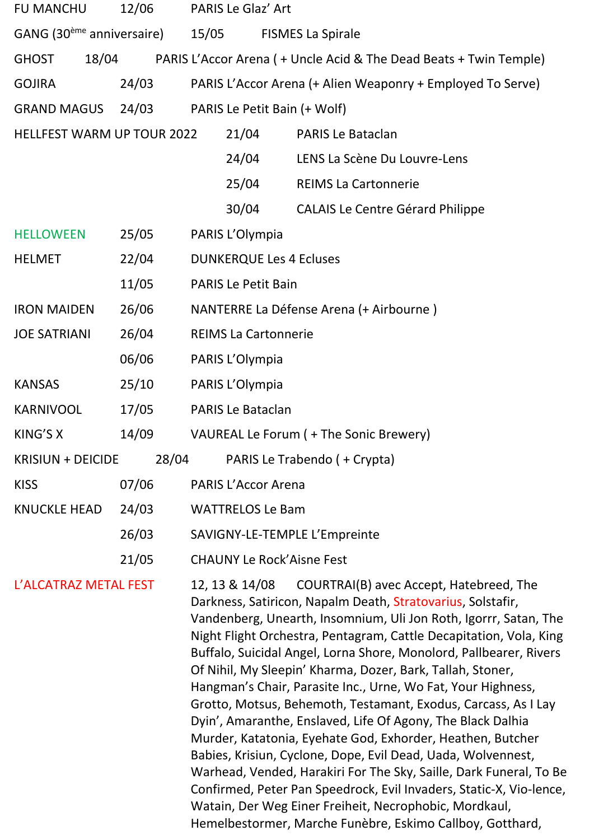| <b>FU MANCHU</b><br>12/06             |       | PARIS Le Glaz' Art                      |                                                                   |                                   |                                                                                                                                                                                                                                                                                                                                                                                                                                                                                                                                                                                                                                                                                                                                                                                                                                                                                                                            |  |  |
|---------------------------------------|-------|-----------------------------------------|-------------------------------------------------------------------|-----------------------------------|----------------------------------------------------------------------------------------------------------------------------------------------------------------------------------------------------------------------------------------------------------------------------------------------------------------------------------------------------------------------------------------------------------------------------------------------------------------------------------------------------------------------------------------------------------------------------------------------------------------------------------------------------------------------------------------------------------------------------------------------------------------------------------------------------------------------------------------------------------------------------------------------------------------------------|--|--|
| GANG (30 <sup>ème</sup> anniversaire) |       | 15/05<br><b>FISMES La Spirale</b>       |                                                                   |                                   |                                                                                                                                                                                                                                                                                                                                                                                                                                                                                                                                                                                                                                                                                                                                                                                                                                                                                                                            |  |  |
| <b>GHOST</b>                          | 18/04 |                                         | PARIS L'Accor Arena (+ Uncle Acid & The Dead Beats + Twin Temple) |                                   |                                                                                                                                                                                                                                                                                                                                                                                                                                                                                                                                                                                                                                                                                                                                                                                                                                                                                                                            |  |  |
| <b>GOJIRA</b>                         |       | 24/03                                   |                                                                   |                                   | PARIS L'Accor Arena (+ Alien Weaponry + Employed To Serve)                                                                                                                                                                                                                                                                                                                                                                                                                                                                                                                                                                                                                                                                                                                                                                                                                                                                 |  |  |
| <b>GRAND MAGUS</b><br>24/03           |       | PARIS Le Petit Bain (+ Wolf)            |                                                                   |                                   |                                                                                                                                                                                                                                                                                                                                                                                                                                                                                                                                                                                                                                                                                                                                                                                                                                                                                                                            |  |  |
| <b>HELLFEST WARM UP TOUR 2022</b>     |       |                                         |                                                                   | 21/04<br><b>PARIS Le Bataclan</b> |                                                                                                                                                                                                                                                                                                                                                                                                                                                                                                                                                                                                                                                                                                                                                                                                                                                                                                                            |  |  |
|                                       |       |                                         |                                                                   | 24/04                             | LENS La Scène Du Louvre-Lens                                                                                                                                                                                                                                                                                                                                                                                                                                                                                                                                                                                                                                                                                                                                                                                                                                                                                               |  |  |
|                                       |       |                                         |                                                                   | 25/04                             | <b>REIMS La Cartonnerie</b>                                                                                                                                                                                                                                                                                                                                                                                                                                                                                                                                                                                                                                                                                                                                                                                                                                                                                                |  |  |
|                                       |       |                                         |                                                                   | 30/04                             | <b>CALAIS Le Centre Gérard Philippe</b>                                                                                                                                                                                                                                                                                                                                                                                                                                                                                                                                                                                                                                                                                                                                                                                                                                                                                    |  |  |
| <b>HELLOWEEN</b>                      |       | 25/05                                   |                                                                   | PARIS L'Olympia                   |                                                                                                                                                                                                                                                                                                                                                                                                                                                                                                                                                                                                                                                                                                                                                                                                                                                                                                                            |  |  |
| <b>HELMET</b>                         |       | 22/04                                   | <b>DUNKERQUE Les 4 Ecluses</b>                                    |                                   |                                                                                                                                                                                                                                                                                                                                                                                                                                                                                                                                                                                                                                                                                                                                                                                                                                                                                                                            |  |  |
|                                       |       | 11/05                                   |                                                                   | <b>PARIS Le Petit Bain</b>        |                                                                                                                                                                                                                                                                                                                                                                                                                                                                                                                                                                                                                                                                                                                                                                                                                                                                                                                            |  |  |
| <b>IRON MAIDEN</b><br>26/06           |       | NANTERRE La Défense Arena (+ Airbourne) |                                                                   |                                   |                                                                                                                                                                                                                                                                                                                                                                                                                                                                                                                                                                                                                                                                                                                                                                                                                                                                                                                            |  |  |
| 26/04<br><b>JOE SATRIANI</b>          |       |                                         | <b>REIMS La Cartonnerie</b>                                       |                                   |                                                                                                                                                                                                                                                                                                                                                                                                                                                                                                                                                                                                                                                                                                                                                                                                                                                                                                                            |  |  |
|                                       |       | 06/06                                   |                                                                   | PARIS L'Olympia                   |                                                                                                                                                                                                                                                                                                                                                                                                                                                                                                                                                                                                                                                                                                                                                                                                                                                                                                                            |  |  |
| <b>KANSAS</b>                         |       | 25/10                                   |                                                                   | PARIS L'Olympia                   |                                                                                                                                                                                                                                                                                                                                                                                                                                                                                                                                                                                                                                                                                                                                                                                                                                                                                                                            |  |  |
| <b>KARNIVOOL</b>                      |       | 17/05                                   | <b>PARIS Le Bataclan</b>                                          |                                   |                                                                                                                                                                                                                                                                                                                                                                                                                                                                                                                                                                                                                                                                                                                                                                                                                                                                                                                            |  |  |
| KING'S X                              |       | 14/09                                   | VAUREAL Le Forum ( + The Sonic Brewery)                           |                                   |                                                                                                                                                                                                                                                                                                                                                                                                                                                                                                                                                                                                                                                                                                                                                                                                                                                                                                                            |  |  |
| <b>KRISIUN + DEICIDE</b>              |       | 28/04                                   |                                                                   |                                   | PARIS Le Trabendo (+ Crypta)                                                                                                                                                                                                                                                                                                                                                                                                                                                                                                                                                                                                                                                                                                                                                                                                                                                                                               |  |  |
| <b>KISS</b>                           |       | 07/06                                   |                                                                   | <b>PARIS L'Accor Arena</b>        |                                                                                                                                                                                                                                                                                                                                                                                                                                                                                                                                                                                                                                                                                                                                                                                                                                                                                                                            |  |  |
| <b>KNUCKLE HEAD</b>                   |       | 24/03                                   | <b>WATTRELOS Le Bam</b>                                           |                                   |                                                                                                                                                                                                                                                                                                                                                                                                                                                                                                                                                                                                                                                                                                                                                                                                                                                                                                                            |  |  |
|                                       |       | 26/03                                   | SAVIGNY-LE-TEMPLE L'Empreinte                                     |                                   |                                                                                                                                                                                                                                                                                                                                                                                                                                                                                                                                                                                                                                                                                                                                                                                                                                                                                                                            |  |  |
|                                       |       | 21/05                                   |                                                                   | <b>CHAUNY Le Rock'Aisne Fest</b>  |                                                                                                                                                                                                                                                                                                                                                                                                                                                                                                                                                                                                                                                                                                                                                                                                                                                                                                                            |  |  |
| L'ALCATRAZ METAL FEST                 |       |                                         |                                                                   | 12, 13 & 14/08                    | COURTRAI(B) avec Accept, Hatebreed, The<br>Darkness, Satiricon, Napalm Death, Stratovarius, Solstafir,<br>Vandenberg, Unearth, Insomnium, Uli Jon Roth, Igorrr, Satan, The<br>Night Flight Orchestra, Pentagram, Cattle Decapitation, Vola, King<br>Buffalo, Suicidal Angel, Lorna Shore, Monolord, Pallbearer, Rivers<br>Of Nihil, My Sleepin' Kharma, Dozer, Bark, Tallah, Stoner,<br>Hangman's Chair, Parasite Inc., Urne, Wo Fat, Your Highness,<br>Grotto, Motsus, Behemoth, Testamant, Exodus, Carcass, As I Lay<br>Dyin', Amaranthe, Enslaved, Life Of Agony, The Black Dalhia<br>Murder, Katatonia, Eyehate God, Exhorder, Heathen, Butcher<br>Babies, Krisiun, Cyclone, Dope, Evil Dead, Uada, Wolvennest,<br>Warhead, Vended, Harakiri For The Sky, Saille, Dark Funeral, To Be<br>Confirmed, Peter Pan Speedrock, Evil Invaders, Static-X, Vio-lence,<br>Watain, Der Weg Einer Freiheit, Necrophobic, Mordkaul, |  |  |

Hemelbestormer, Marche Funèbre, Eskimo Callboy, Gotthard,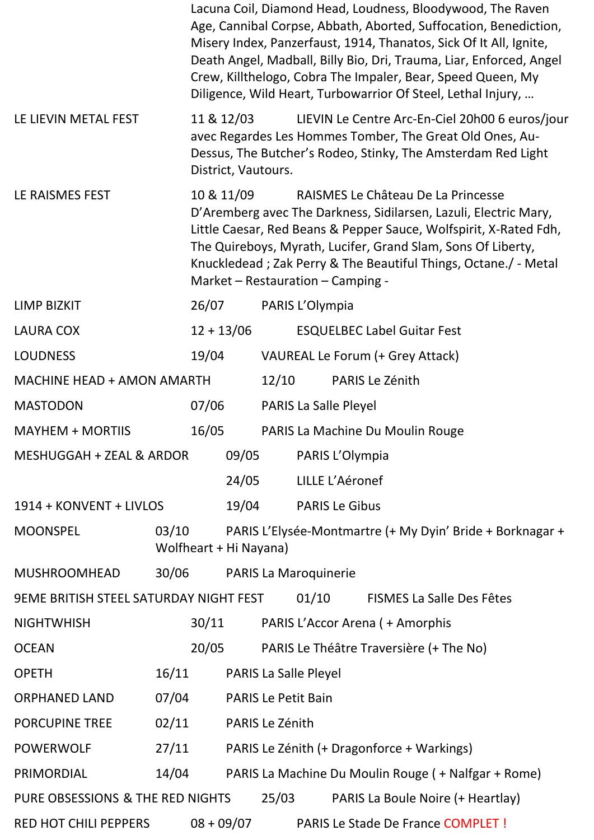|                                               |                                 |                                                                                                                                                                                                                                                                                                                                                                   |                              |                       | Lacuna Coil, Diamond Head, Loudness, Bloodywood, The Raven<br>Age, Cannibal Corpse, Abbath, Aborted, Suffocation, Benediction,<br>Misery Index, Panzerfaust, 1914, Thanatos, Sick Of It All, Ignite,<br>Death Angel, Madball, Billy Bio, Dri, Trauma, Liar, Enforced, Angel<br>Crew, Killthelogo, Cobra The Impaler, Bear, Speed Queen, My<br>Diligence, Wild Heart, Turbowarrior Of Steel, Lethal Injury, |  |  |
|-----------------------------------------------|---------------------------------|-------------------------------------------------------------------------------------------------------------------------------------------------------------------------------------------------------------------------------------------------------------------------------------------------------------------------------------------------------------------|------------------------------|-----------------------|------------------------------------------------------------------------------------------------------------------------------------------------------------------------------------------------------------------------------------------------------------------------------------------------------------------------------------------------------------------------------------------------------------|--|--|
| LE LIEVIN METAL FEST                          |                                 | 11 & 12/03<br>District, Vautours.                                                                                                                                                                                                                                                                                                                                 |                              |                       | LIEVIN Le Centre Arc-En-Ciel 20h00 6 euros/jour<br>avec Regardes Les Hommes Tomber, The Great Old Ones, Au-<br>Dessus, The Butcher's Rodeo, Stinky, The Amsterdam Red Light                                                                                                                                                                                                                                |  |  |
| LE RAISMES FEST                               |                                 | 10 & 11/09<br>RAISMES Le Château De La Princesse<br>D'Aremberg avec The Darkness, Sidilarsen, Lazuli, Electric Mary,<br>Little Caesar, Red Beans & Pepper Sauce, Wolfspirit, X-Rated Fdh,<br>The Quireboys, Myrath, Lucifer, Grand Slam, Sons Of Liberty,<br>Knuckledead; Zak Perry & The Beautiful Things, Octane./ - Metal<br>Market - Restauration - Camping - |                              |                       |                                                                                                                                                                                                                                                                                                                                                                                                            |  |  |
| <b>LIMP BIZKIT</b>                            | 26/07                           |                                                                                                                                                                                                                                                                                                                                                                   | PARIS L'Olympia              |                       |                                                                                                                                                                                                                                                                                                                                                                                                            |  |  |
| <b>LAURA COX</b>                              |                                 | $12 + 13/06$                                                                                                                                                                                                                                                                                                                                                      |                              |                       | <b>ESQUELBEC Label Guitar Fest</b>                                                                                                                                                                                                                                                                                                                                                                         |  |  |
| <b>LOUDNESS</b>                               | 19/04                           |                                                                                                                                                                                                                                                                                                                                                                   |                              |                       | VAUREAL Le Forum (+ Grey Attack)                                                                                                                                                                                                                                                                                                                                                                           |  |  |
| <b>MACHINE HEAD + AMON AMARTH</b>             |                                 |                                                                                                                                                                                                                                                                                                                                                                   | 12/10                        |                       | PARIS Le Zénith                                                                                                                                                                                                                                                                                                                                                                                            |  |  |
| <b>MASTODON</b>                               | 07/06                           |                                                                                                                                                                                                                                                                                                                                                                   |                              |                       | PARIS La Salle Pleyel                                                                                                                                                                                                                                                                                                                                                                                      |  |  |
| <b>MAYHEM + MORTIIS</b>                       | 16/05                           |                                                                                                                                                                                                                                                                                                                                                                   |                              |                       | PARIS La Machine Du Moulin Rouge                                                                                                                                                                                                                                                                                                                                                                           |  |  |
| MESHUGGAH + ZEAL & ARDOR                      |                                 | 09/05                                                                                                                                                                                                                                                                                                                                                             |                              |                       | PARIS L'Olympia                                                                                                                                                                                                                                                                                                                                                                                            |  |  |
|                                               |                                 | 24/05                                                                                                                                                                                                                                                                                                                                                             |                              |                       | LILLE L'Aéronef                                                                                                                                                                                                                                                                                                                                                                                            |  |  |
| 1914 + KONVENT + LIVLOS                       |                                 | 19/04                                                                                                                                                                                                                                                                                                                                                             |                              | <b>PARIS Le Gibus</b> |                                                                                                                                                                                                                                                                                                                                                                                                            |  |  |
| <b>MOONSPEL</b>                               | 03/10<br>Wolfheart + Hi Nayana) |                                                                                                                                                                                                                                                                                                                                                                   |                              |                       | PARIS L'Elysée-Montmartre (+ My Dyin' Bride + Borknagar +                                                                                                                                                                                                                                                                                                                                                  |  |  |
| <b>MUSHROOMHEAD</b>                           | 30/06                           |                                                                                                                                                                                                                                                                                                                                                                   | <b>PARIS La Maroquinerie</b> |                       |                                                                                                                                                                                                                                                                                                                                                                                                            |  |  |
| <b>9EME BRITISH STEEL SATURDAY NIGHT FEST</b> |                                 |                                                                                                                                                                                                                                                                                                                                                                   |                              | 01/10                 | <b>FISMES La Salle Des Fêtes</b>                                                                                                                                                                                                                                                                                                                                                                           |  |  |
| <b>NIGHTWHISH</b>                             | 30/11                           |                                                                                                                                                                                                                                                                                                                                                                   |                              |                       | PARIS L'Accor Arena (+ Amorphis                                                                                                                                                                                                                                                                                                                                                                            |  |  |
| <b>OCEAN</b>                                  | 20/05                           |                                                                                                                                                                                                                                                                                                                                                                   |                              |                       | PARIS Le Théâtre Traversière (+ The No)                                                                                                                                                                                                                                                                                                                                                                    |  |  |
| <b>OPETH</b>                                  | 16/11                           |                                                                                                                                                                                                                                                                                                                                                                   | PARIS La Salle Pleyel        |                       |                                                                                                                                                                                                                                                                                                                                                                                                            |  |  |
| <b>ORPHANED LAND</b>                          | 07/04                           |                                                                                                                                                                                                                                                                                                                                                                   | <b>PARIS Le Petit Bain</b>   |                       |                                                                                                                                                                                                                                                                                                                                                                                                            |  |  |
| <b>PORCUPINE TREE</b>                         | 02/11                           |                                                                                                                                                                                                                                                                                                                                                                   | PARIS Le Zénith              |                       |                                                                                                                                                                                                                                                                                                                                                                                                            |  |  |
| <b>POWERWOLF</b>                              | 27/11                           |                                                                                                                                                                                                                                                                                                                                                                   |                              |                       | PARIS Le Zénith (+ Dragonforce + Warkings)                                                                                                                                                                                                                                                                                                                                                                 |  |  |
| PRIMORDIAL                                    | 14/04                           |                                                                                                                                                                                                                                                                                                                                                                   |                              |                       | PARIS La Machine Du Moulin Rouge ( + Nalfgar + Rome)                                                                                                                                                                                                                                                                                                                                                       |  |  |
| PURE OBSESSIONS & THE RED NIGHTS              |                                 |                                                                                                                                                                                                                                                                                                                                                                   | 25/03                        |                       | PARIS La Boule Noire (+ Heartlay)                                                                                                                                                                                                                                                                                                                                                                          |  |  |
| <b>RED HOT CHILI PEPPERS</b>                  |                                 | $08 + 09/07$                                                                                                                                                                                                                                                                                                                                                      |                              |                       | PARIS Le Stade De France COMPLET !                                                                                                                                                                                                                                                                                                                                                                         |  |  |